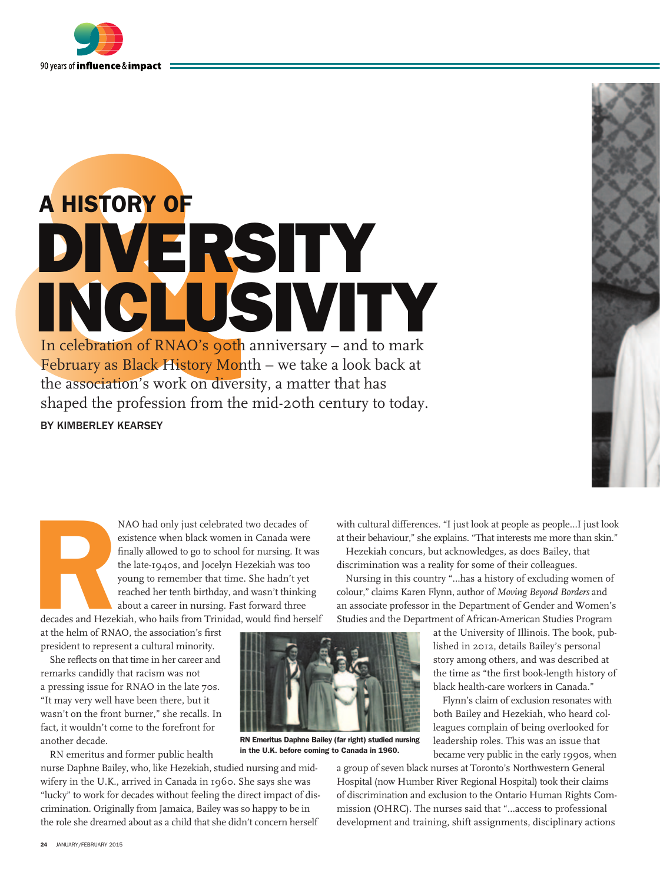

## A history of diversity inclusivity In celebration of RNAO's 90th anniversary – and to mark February as Black History Month – we take a look back at the association's work on diversity, a matter that has shaped the profession from the mid-20th century to today. by Kimberley Kearsey

decades and Hezel NAO had only just celebrated two decades of existence when black women in Canada were finally allowed to go to school for nursing. It was the late-1940s, and Jocelyn Hezekiah was too young to remember that time. She hadn't yet reached her tenth birthday, and wasn't thinking about a career in nursing. Fast forward three decades and Hezekiah, who hails from Trinidad, would find herself

at the helm of RNAO, the association's first president to represent a cultural minority.

She reflects on that time in her career and remarks candidly that racism was not a pressing issue for RNAO in the late 70s. "It may very well have been there, but it wasn't on the front burner," she recalls. In fact, it wouldn't come to the forefront for another decade.

RN emeritus and former public health

nurse Daphne Bailey, who, like Hezekiah, studied nursing and midwifery in the U.K., arrived in Canada in 1960. She says she was "lucky" to work for decades without feeling the direct impact of discrimination. Originally from Jamaica, Bailey was so happy to be in the role she dreamed about as a child that she didn't concern herself



RN Emeritus Daphne Bailey (far right) studied nursing

in the U.K. before coming to Canada in 1960.

with cultural differences. "I just look at people as people…I just look at their behaviour," she explains. "That interests me more than skin."

Hezekiah concurs, but acknowledges, as does Bailey, that discrimination was a reality for some of their colleagues.

Nursing in this country "…has a history of excluding women of colour," claims Karen Flynn, author of *Moving Beyond Borders* and an associate professor in the Department of Gender and Women's Studies and the Department of African-American Studies Program

> at the University of Illinois. The book, published in 2012, details Bailey's personal story among others, and was described at the time as "the first book-length history of black health-care workers in Canada."

> Flynn's claim of exclusion resonates with both Bailey and Hezekiah, who heard colleagues complain of being overlooked for leadership roles. This was an issue that became very public in the early 1990s, when

a group of seven black nurses at Toronto's Northwestern General Hospital (now Humber River Regional Hospital) took their claims of discrimination and exclusion to the Ontario Human Rights Commission (OHRC). The nurses said that "…access to professional development and training, shift assignments, disciplinary actions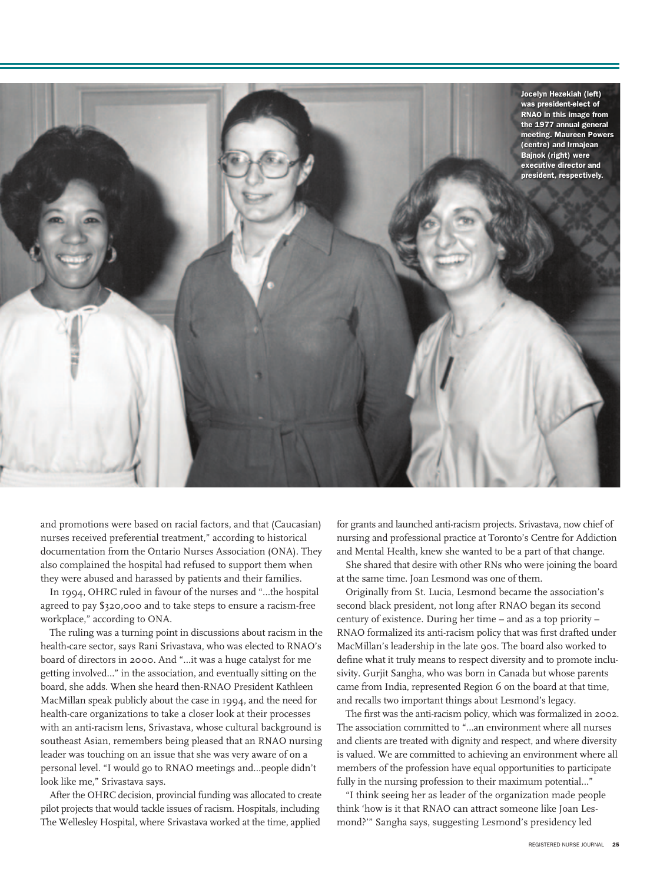

and promotions were based on racial factors, and that (Caucasian) nurses received preferential treatment," according to historical documentation from the Ontario Nurses Association (ONA). They also complained the hospital had refused to support them when they were abused and harassed by patients and their families.

In 1994, OHRC ruled in favour of the nurses and "…the hospital agreed to pay \$320,000 and to take steps to ensure a racism-free workplace," according to ONA.

The ruling was a turning point in discussions about racism in the health-care sector, says Rani Srivastava, who was elected to RNAO's board of directors in 2000. And "…it was a huge catalyst for me getting involved…" in the association, and eventually sitting on the board, she adds. When she heard then-RNAO President Kathleen MacMillan speak publicly about the case in 1994, and the need for health-care organizations to take a closer look at their processes with an anti-racism lens, Srivastava, whose cultural background is southeast Asian, remembers being pleased that an RNAO nursing leader was touching on an issue that she was very aware of on a personal level. "I would go to RNAO meetings and…people didn't look like me," Srivastava says.

After the OHRC decision, provincial funding was allocated to create pilot projects that would tackle issues of racism. Hospitals, including The Wellesley Hospital, where Srivastava worked at the time, applied

for grants and launched anti-racism projects. Srivastava, now chief of nursing and professional practice at Toronto's Centre for Addiction and Mental Health, knew she wanted to be a part of that change.

She shared that desire with other RNs who were joining the board at the same time. Joan Lesmond was one of them.

Originally from St. Lucia, Lesmond became the association's second black president, not long after RNAO began its second century of existence. During her time – and as a top priority – RNAO formalized its anti-racism policy that was first drafted under MacMillan's leadership in the late 90s. The board also worked to define what it truly means to respect diversity and to promote inclusivity. Gurjit Sangha, who was born in Canada but whose parents came from India, represented Region 6 on the board at that time, and recalls two important things about Lesmond's legacy.

The first was the anti-racism policy, which was formalized in 2002. The association committed to "…an environment where all nurses and clients are treated with dignity and respect, and where diversity is valued. We are committed to achieving an environment where all members of the profession have equal opportunities to participate fully in the nursing profession to their maximum potential…"

"I think seeing her as leader of the organization made people think 'how is it that RNAO can attract someone like Joan Lesmond?'" Sangha says, suggesting Lesmond's presidency led